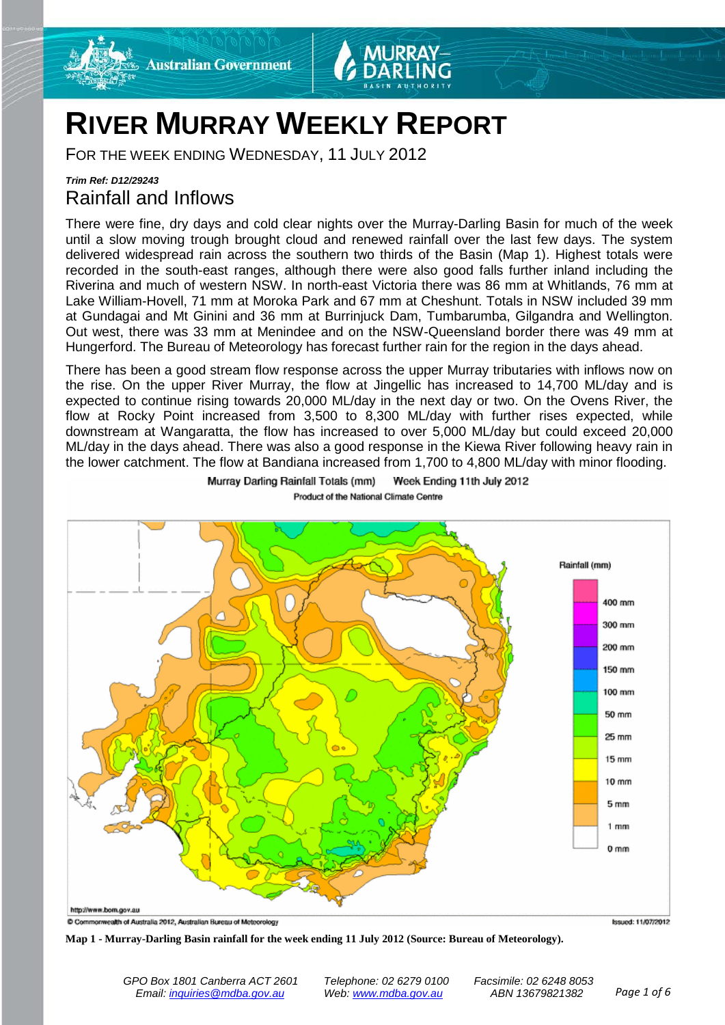



# **RIVER MURRAY WEEKLY REPORT**

Murray Darling Rainfall Totals (mm)

FOR THE WEEK ENDING WEDNESDAY, 11 JULY 2012

# *Trim Ref: D12/29243* Rainfall and Inflows

There were fine, dry days and cold clear nights over the Murray-Darling Basin for much of the week until a slow moving trough brought cloud and renewed rainfall over the last few days. The system delivered widespread rain across the southern two thirds of the Basin (Map 1). Highest totals were recorded in the south-east ranges, although there were also good falls further inland including the Riverina and much of western NSW. In north-east Victoria there was 86 mm at Whitlands, 76 mm at Lake William-Hovell, 71 mm at Moroka Park and 67 mm at Cheshunt. Totals in NSW included 39 mm at Gundagai and Mt Ginini and 36 mm at Burrinjuck Dam, Tumbarumba, Gilgandra and Wellington. Out west, there was 33 mm at Menindee and on the NSW-Queensland border there was 49 mm at Hungerford. The Bureau of Meteorology has forecast further rain for the region in the days ahead.

There has been a good stream flow response across the upper Murray tributaries with inflows now on the rise. On the upper River Murray, the flow at Jingellic has increased to 14,700 ML/day and is expected to continue rising towards 20,000 ML/day in the next day or two. On the Ovens River, the flow at Rocky Point increased from 3,500 to 8,300 ML/day with further rises expected, while downstream at Wangaratta, the flow has increased to over 5,000 ML/day but could exceed 20,000 ML/day in the days ahead. There was also a good response in the Kiewa River following heavy rain in the lower catchment. The flow at Bandiana increased from 1,700 to 4,800 ML/day with minor flooding.

Product of the National Climate Centre

Week Ending 11th July 2012



**Map 1 - Murray-Darling Basin rainfall for the week ending 11 July 2012 (Source: Bureau of Meteorology).**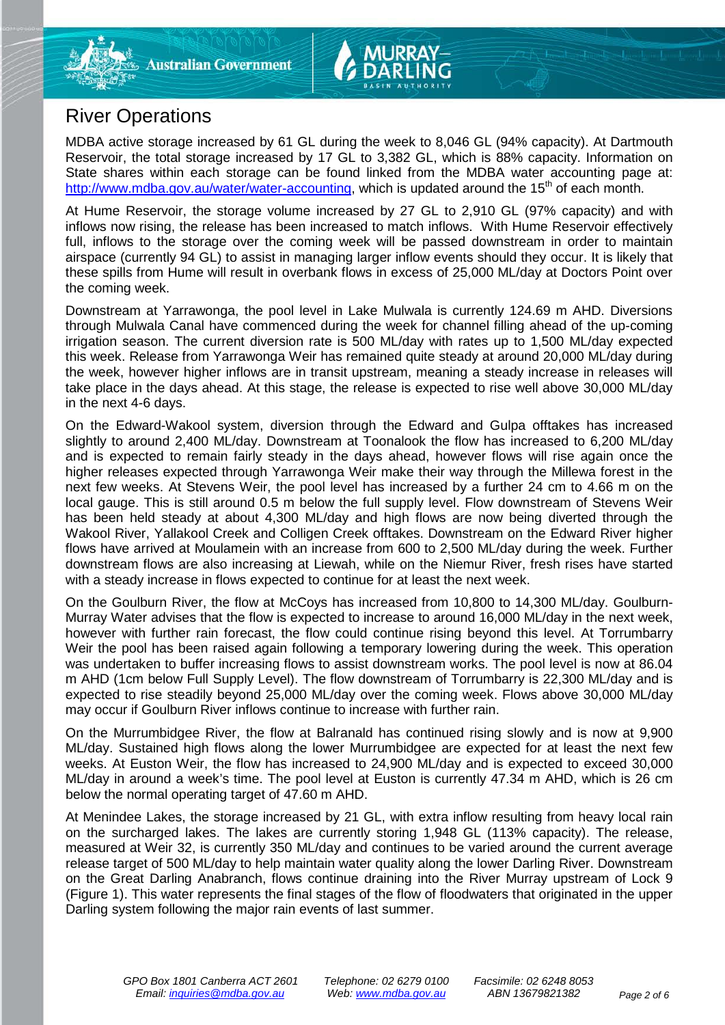

MDBA active storage increased by 61 GL during the week to 8,046 GL (94% capacity). At Dartmouth Reservoir, the total storage increased by 17 GL to 3,382 GL, which is 88% capacity. Information on State shares within each storage can be found linked from the MDBA water accounting page at: [http://www.mdba.gov.au/water/water-accounting,](http://www.mdba.gov.au/water/water-accounting) which is updated around the  $15<sup>th</sup>$  of each month.

At Hume Reservoir, the storage volume increased by 27 GL to 2,910 GL (97% capacity) and with inflows now rising, the release has been increased to match inflows. With Hume Reservoir effectively full, inflows to the storage over the coming week will be passed downstream in order to maintain airspace (currently 94 GL) to assist in managing larger inflow events should they occur. It is likely that these spills from Hume will result in overbank flows in excess of 25,000 ML/day at Doctors Point over the coming week.

Downstream at Yarrawonga, the pool level in Lake Mulwala is currently 124.69 m AHD. Diversions through Mulwala Canal have commenced during the week for channel filling ahead of the up-coming irrigation season. The current diversion rate is 500 ML/day with rates up to 1,500 ML/day expected this week. Release from Yarrawonga Weir has remained quite steady at around 20,000 ML/day during the week, however higher inflows are in transit upstream, meaning a steady increase in releases will take place in the days ahead. At this stage, the release is expected to rise well above 30,000 ML/day in the next 4-6 days.

On the Edward-Wakool system, diversion through the Edward and Gulpa offtakes has increased slightly to around 2,400 ML/day. Downstream at Toonalook the flow has increased to 6,200 ML/day and is expected to remain fairly steady in the days ahead, however flows will rise again once the higher releases expected through Yarrawonga Weir make their way through the Millewa forest in the next few weeks. At Stevens Weir, the pool level has increased by a further 24 cm to 4.66 m on the local gauge. This is still around 0.5 m below the full supply level. Flow downstream of Stevens Weir has been held steady at about 4,300 ML/day and high flows are now being diverted through the Wakool River, Yallakool Creek and Colligen Creek offtakes. Downstream on the Edward River higher flows have arrived at Moulamein with an increase from 600 to 2,500 ML/day during the week. Further downstream flows are also increasing at Liewah, while on the Niemur River, fresh rises have started with a steady increase in flows expected to continue for at least the next week.

On the Goulburn River, the flow at McCoys has increased from 10,800 to 14,300 ML/day. Goulburn-Murray Water advises that the flow is expected to increase to around 16,000 ML/day in the next week, however with further rain forecast, the flow could continue rising beyond this level. At Torrumbarry Weir the pool has been raised again following a temporary lowering during the week. This operation was undertaken to buffer increasing flows to assist downstream works. The pool level is now at 86.04 m AHD (1cm below Full Supply Level). The flow downstream of Torrumbarry is 22,300 ML/day and is expected to rise steadily beyond 25,000 ML/day over the coming week. Flows above 30,000 ML/day may occur if Goulburn River inflows continue to increase with further rain.

On the Murrumbidgee River, the flow at Balranald has continued rising slowly and is now at 9,900 ML/day. Sustained high flows along the lower Murrumbidgee are expected for at least the next few weeks. At Euston Weir, the flow has increased to 24,900 ML/day and is expected to exceed 30,000 ML/day in around a week's time. The pool level at Euston is currently 47.34 m AHD, which is 26 cm below the normal operating target of 47.60 m AHD.

At Menindee Lakes, the storage increased by 21 GL, with extra inflow resulting from heavy local rain on the surcharged lakes. The lakes are currently storing 1,948 GL (113% capacity). The release, measured at Weir 32, is currently 350 ML/day and continues to be varied around the current average release target of 500 ML/day to help maintain water quality along the lower Darling River. Downstream on the Great Darling Anabranch, flows continue draining into the River Murray upstream of Lock 9 (Figure 1). This water represents the final stages of the flow of floodwaters that originated in the upper Darling system following the major rain events of last summer.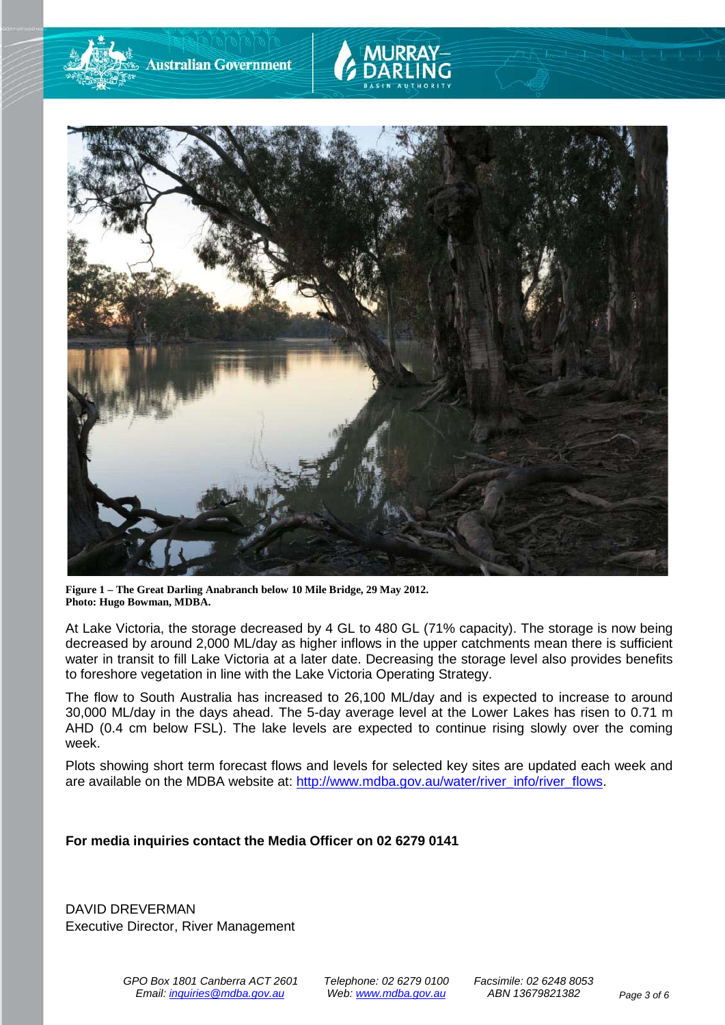

**Figure 1 – The Great Darling Anabranch below 10 Mile Bridge, 29 May 2012. Photo: Hugo Bowman, MDBA.**

At Lake Victoria, the storage decreased by 4 GL to 480 GL (71% capacity). The storage is now being decreased by around 2,000 ML/day as higher inflows in the upper catchments mean there is sufficient water in transit to fill Lake Victoria at a later date. Decreasing the storage level also provides benefits to foreshore vegetation in line with the Lake Victoria Operating Strategy.

The flow to South Australia has increased to 26,100 ML/day and is expected to increase to around 30,000 ML/day in the days ahead. The 5-day average level at the Lower Lakes has risen to 0.71 m AHD (0.4 cm below FSL). The lake levels are expected to continue rising slowly over the coming week.

Plots showing short term forecast flows and levels for selected key sites are updated each week and are available on the MDBA website at: [http://www.mdba.gov.au/water/river\\_info/river\\_flows.](http://www.mdba.gov.au/water/river_info/river_flows)

**For media inquiries contact the Media Officer on 02 6279 0141**

DAVID DREVERMAN Executive Director, River Management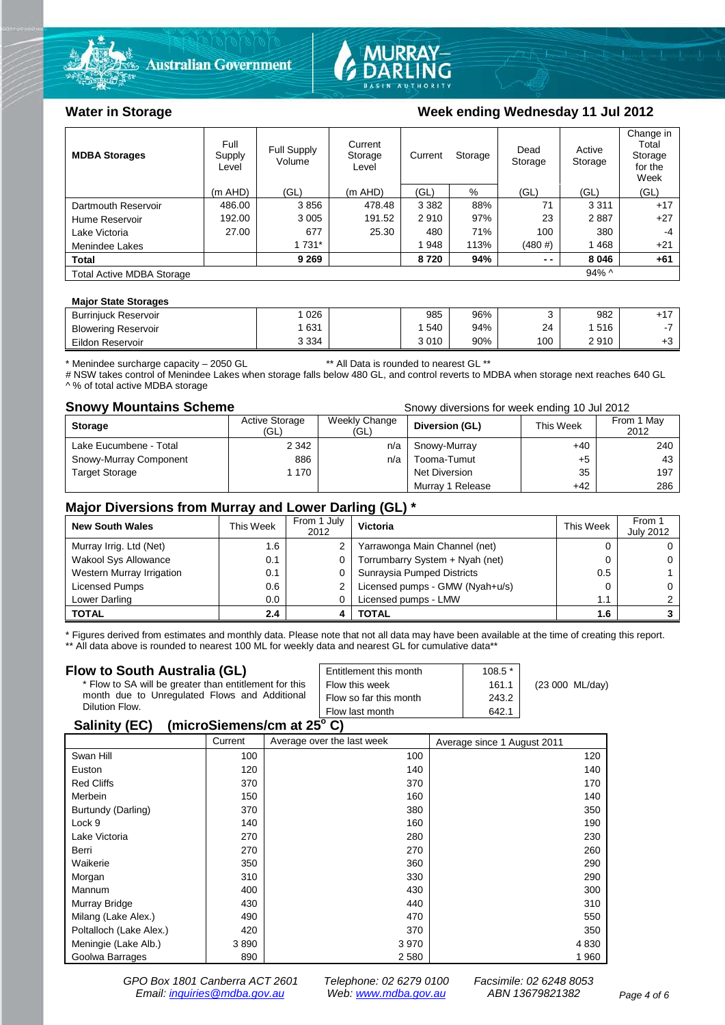



# Water in Storage Week ending Wednesday 11 Jul 2012

| <b>MDBA Storages</b>             | Full<br>Supply<br>Level | Full Supply<br>Volume | Current<br>Storage<br>Level |         | Current<br>Storage |        | Active<br>Storage | Change in<br>Total<br>Storage<br>for the<br>Week |
|----------------------------------|-------------------------|-----------------------|-----------------------------|---------|--------------------|--------|-------------------|--------------------------------------------------|
|                                  | $(m$ AHD)               | (GL)                  | $(m$ AHD)                   | (GL)    | %                  | (GL)   | (GL)              | (GL)                                             |
| Dartmouth Reservoir              | 486.00                  | 3856                  | 478.48                      | 3 3 8 2 | 88%                | 71     | 3 3 1 1           | $+17$                                            |
| Hume Reservoir                   | 192.00                  | 3 0 0 5               | 191.52                      | 2910    | 97%                | 23     | 2887              | $+27$                                            |
| Lake Victoria                    | 27.00                   | 677                   | 25.30                       | 480     | 71%                | 100    | 380               | -4                                               |
| Menindee Lakes                   |                         | 1 7 3 1 *             |                             | 1 948   | 113%               | (480#) | 1468              | $+21$                                            |
| <b>Total</b>                     |                         | 9 2 6 9               |                             | 8720    | 94%                | $ -$   | 8 0 4 6           | $+61$                                            |
| <b>Total Active MDBA Storage</b> |                         |                       |                             |         |                    |        | $94\%$ ^          |                                                  |

### **Major State Storages**

| <b>Burriniuck Reservoir</b> | 026     | 985  | 96% |     | 982  | $.4 -$ |
|-----------------------------|---------|------|-----|-----|------|--------|
| <b>Blowering Reservoir</b>  | 631     | 540  | 94% | 24  | 516  |        |
| Eildon Reservoir            | 3 3 3 4 | 3010 | 90% | 100 | 2910 | ΓU     |

\* Menindee surcharge capacity – 2050 GL \*\* All Data is rounded to nearest GL \*\*

# NSW takes control of Menindee Lakes when storage falls below 480 GL, and control reverts to MDBA when storage next reaches 640 GL ^ % of total active MDBA storage

**Snowy Mountains Scheme Snowy diversions for week ending 10 Jul 2012** 

| <b>Storage</b>         | <b>Active Storage</b><br>(GL) | Weekly Change<br>(GL) | Diversion (GL)   | This Week | From 1 May<br>2012 |
|------------------------|-------------------------------|-----------------------|------------------|-----------|--------------------|
| Lake Eucumbene - Total | 2 3 4 2                       | n/a                   | Snowy-Murray     | $+40$     | 240                |
| Snowy-Murray Component | 886                           | n/a                   | Tooma-Tumut      | +5        | 43                 |
| Target Storage         | 1 170                         |                       | Net Diversion    | 35        | 197                |
|                        |                               |                       | Murray 1 Release | $+42$     | 286                |

# **Major Diversions from Murray and Lower Darling (GL) \***

| <b>New South Wales</b>    | This Week | From 1 July<br>2012 | Victoria                        | This Week | From 1<br><b>July 2012</b> |
|---------------------------|-----------|---------------------|---------------------------------|-----------|----------------------------|
| Murray Irrig. Ltd (Net)   | 1.6       |                     | Yarrawonga Main Channel (net)   |           |                            |
| Wakool Sys Allowance      | 0.1       | 0                   | Torrumbarry System + Nyah (net) |           |                            |
| Western Murray Irrigation | 0.1       |                     | Sunraysia Pumped Districts      | 0.5       |                            |
| Licensed Pumps            | 0.6       |                     | Licensed pumps - GMW (Nyah+u/s) |           |                            |
| Lower Darling             | $0.0\,$   |                     | Licensed pumps - LMW            | 1.1       |                            |
| <b>TOTAL</b>              | 2.4       |                     | TOTAL                           | 1.6       |                            |

\* Figures derived from estimates and monthly data. Please note that not all data may have been available at the time of creating this report. \*\* All data above is rounded to nearest 100 ML for weekly data and nearest GL for cumulative data\*\*

### **Flow to South Australia (GL)**

| Flow to South Australia (GL)<br>* Flow to SA will be greater than entitlement for this<br>month due to Unregulated Flows and Additional<br>Dilution Flow. | Entitlement this month<br>Flow this week<br>Flow so far this month | $108.5*$<br>161.1<br>243.2 | (23 000 ML/day) |
|-----------------------------------------------------------------------------------------------------------------------------------------------------------|--------------------------------------------------------------------|----------------------------|-----------------|
|                                                                                                                                                           | Flow last month                                                    | 642.1                      |                 |
| 0.11100                                                                                                                                                   |                                                                    |                            |                 |

### **Salinity (EC) (microSiemens/cm at 25o C)**

|                         | Current | Average over the last week | Average since 1 August 2011 |
|-------------------------|---------|----------------------------|-----------------------------|
| Swan Hill               | 100     | 100                        | 120                         |
| Euston                  | 120     | 140                        | 140                         |
| <b>Red Cliffs</b>       | 370     | 370                        | 170                         |
| Merbein                 | 150     | 160                        | 140                         |
| Burtundy (Darling)      | 370     | 380                        | 350                         |
| Lock 9                  | 140     | 160                        | 190                         |
| Lake Victoria           | 270     | 280                        | 230                         |
| Berri                   | 270     | 270                        | 260                         |
| Waikerie                | 350     | 360                        | 290                         |
| Morgan                  | 310     | 330                        | 290                         |
| Mannum                  | 400     | 430                        | 300                         |
| Murray Bridge           | 430     | 440                        | 310                         |
| Milang (Lake Alex.)     | 490     | 470                        | 550                         |
| Poltalloch (Lake Alex.) | 420     | 370                        | 350                         |
| Meningie (Lake Alb.)    | 3890    | 3 9 7 0                    | 4 8 3 0                     |
| Goolwa Barrages         | 890     | 2 5 8 0                    | 1960                        |

*GPO Box 1801 Canberra ACT 2601 Telephone: 02 6279 0100 Facsimile: 02 6248 8053 Email: [inquiries@mdba.gov.au](mailto:inquiries@mdba.gov.au) Web: [www.mdba.gov.au](http://www.mdba.gov.au/) ABN 13679821382 Page 4 of 6*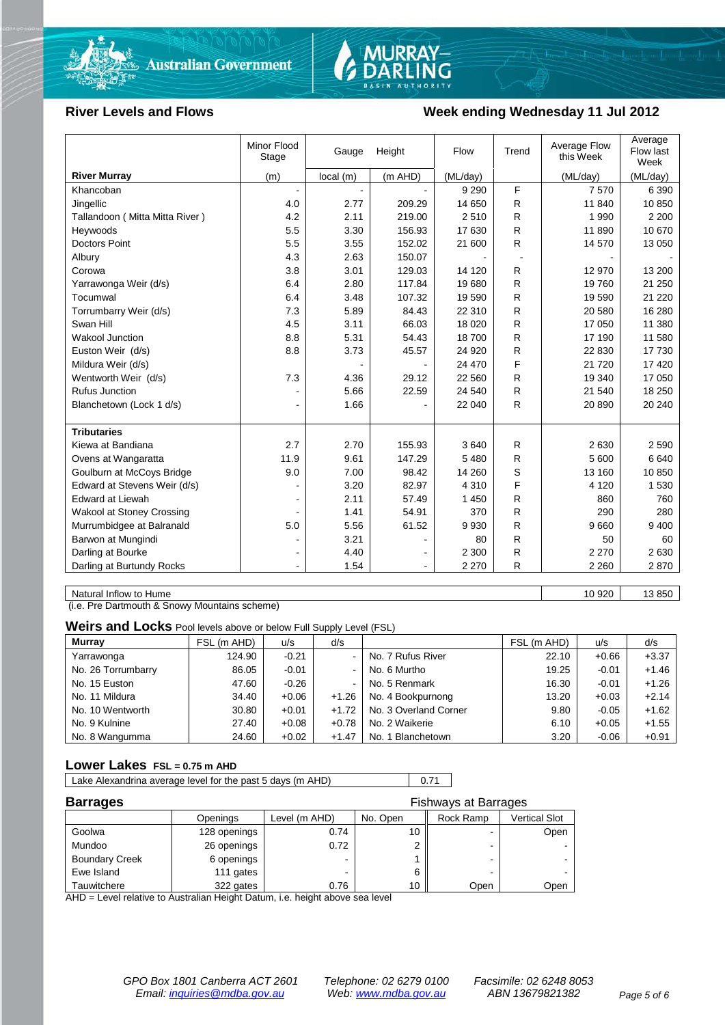



## River Levels and Flows **Week ending Wednesday 11 Jul 2012**

|                                | Minor Flood<br>Stage | Gauge    | Height                       | Flow     | Trend        | Average Flow<br>this Week | Average<br>Flow last<br>Week |
|--------------------------------|----------------------|----------|------------------------------|----------|--------------|---------------------------|------------------------------|
| <b>River Murray</b>            | (m)                  | local(m) | (m AHD)                      | (ML/day) |              | (ML/day)                  | (ML/day)                     |
| Khancoban                      |                      |          |                              | 9 2 9 0  | F            | 7570                      | 6 3 9 0                      |
| Jingellic                      | 4.0                  | 2.77     | 209.29                       | 14 650   | $\mathsf{R}$ | 11 840                    | 10 850                       |
| Tallandoon (Mitta Mitta River) | 4.2                  | 2.11     | 219.00                       | 2510     | $\mathsf{R}$ | 1 9 9 0                   | 2 2 0 0                      |
| Heywoods                       | 5.5                  | 3.30     | 156.93                       | 17 630   | R            | 11 890                    | 10 670                       |
| <b>Doctors Point</b>           | 5.5                  | 3.55     | 152.02                       | 21 600   | R            | 14 570                    | 13 050                       |
| Albury                         | 4.3                  | 2.63     | 150.07                       |          |              |                           |                              |
| Corowa                         | 3.8                  | 3.01     | 129.03                       | 14 120   | R            | 12 970                    | 13 200                       |
| Yarrawonga Weir (d/s)          | 6.4                  | 2.80     | 117.84                       | 19680    | R            | 19760                     | 21 250                       |
| Tocumwal                       | 6.4                  | 3.48     | 107.32                       | 19 590   | R            | 19 590                    | 21 2 20                      |
| Torrumbarry Weir (d/s)         | 7.3                  | 5.89     | 84.43                        | 22 310   | $\mathsf{R}$ | 20 580                    | 16 280                       |
| Swan Hill                      | 4.5                  | 3.11     | 66.03                        | 18 0 20  | $\mathsf{R}$ | 17 050                    | 11 380                       |
| <b>Wakool Junction</b>         | 8.8                  | 5.31     | 54.43                        | 18700    | R            | 17 190                    | 11 580                       |
| Euston Weir (d/s)              | 8.8                  | 3.73     | 45.57                        | 24 9 20  | R            | 22 830                    | 17 730                       |
| Mildura Weir (d/s)             |                      |          |                              | 24 470   | F            | 21 7 20                   | 17420                        |
| Wentworth Weir (d/s)           | 7.3                  | 4.36     | 29.12                        | 22 560   | R            | 19 340                    | 17 050                       |
| Rufus Junction                 |                      | 5.66     | 22.59                        | 24 540   | R            | 21 540                    | 18 250                       |
| Blanchetown (Lock 1 d/s)       | $\blacksquare$       | 1.66     |                              | 22 040   | R            | 20 890                    | 20 240                       |
|                                |                      |          |                              |          |              |                           |                              |
| <b>Tributaries</b>             |                      |          |                              |          |              |                           |                              |
| Kiewa at Bandiana              | 2.7                  | 2.70     | 155.93                       | 3640     | R            | 2630                      | 2 5 9 0                      |
| Ovens at Wangaratta            | 11.9                 | 9.61     | 147.29                       | 5 4 8 0  | R            | 5 600                     | 6640                         |
| Goulburn at McCoys Bridge      | 9.0                  | 7.00     | 98.42                        | 14 260   | S            | 13 160                    | 10 850                       |
| Edward at Stevens Weir (d/s)   |                      | 3.20     | 82.97                        | 4 3 1 0  | F            | 4 1 2 0                   | 1 5 3 0                      |
| <b>Edward at Liewah</b>        |                      | 2.11     | 57.49                        | 1 4 5 0  | R            | 860                       | 760                          |
| Wakool at Stoney Crossing      |                      | 1.41     | 54.91                        | 370      | R            | 290                       | 280                          |
| Murrumbidgee at Balranald      | 5.0                  | 5.56     | 61.52                        | 9930     | R            | 9660                      | 9 4 0 0                      |
| Barwon at Mungindi             |                      | 3.21     |                              | 80       | R            | 50                        | 60                           |
| Darling at Bourke              | ۰                    | 4.40     | -                            | 2 3 0 0  | R            | 2 2 7 0                   | 2 6 3 0                      |
| Darling at Burtundy Rocks      |                      | 1.54     | $\qquad \qquad \blacksquare$ | 2 2 7 0  | R            | 2 2 6 0                   | 2870                         |

Natural Inflow to Hume 10 920 13 850

(i.e. Pre Dartmouth & Snowy Mountains scheme)

**Weirs and Locks** Pool levels above or below Full Supply Level (FSL)

| <b>Murray</b>      | FSL (m AHD) | u/s     | d/s     |                       | FSL (m AHD) | u/s     | d/s     |
|--------------------|-------------|---------|---------|-----------------------|-------------|---------|---------|
| Yarrawonga         | 124.90      | $-0.21$ | $\sim$  | No. 7 Rufus River     | 22.10       | $+0.66$ | $+3.37$ |
| No. 26 Torrumbarry | 86.05       | $-0.01$ | $\sim$  | No. 6 Murtho          | 19.25       | $-0.01$ | $+1.46$ |
| No. 15 Euston      | 47.60       | $-0.26$ | $\sim$  | No. 5 Renmark         | 16.30       | $-0.01$ | $+1.26$ |
| No. 11 Mildura     | 34.40       | $+0.06$ | $+1.26$ | No. 4 Bookpurnong     | 13.20       | $+0.03$ | $+2.14$ |
| No. 10 Wentworth   | 30.80       | $+0.01$ | $+1.72$ | No. 3 Overland Corner | 9.80        | $-0.05$ | $+1.62$ |
| No. 9 Kulnine      | 27.40       | $+0.08$ | $+0.78$ | No. 2 Waikerie        | 6.10        | $+0.05$ | $+1.55$ |
| No. 8 Wangumma     | 24.60       | $+0.02$ | $+1.47$ | No. 1 Blanchetown     | 3.20        | $-0.06$ | $+0.91$ |

### **Lower Lakes FSL = 0.75 m AHD**

Lake Alexandrina average level for the past 5 days (m AHD) 0.71

| <b>Barrages</b>       |              | Fishways at Barrages |          |           |               |  |  |
|-----------------------|--------------|----------------------|----------|-----------|---------------|--|--|
|                       | Openings     | Level (m AHD)        | No. Open | Rock Ramp | Vertical Slot |  |  |
| Goolwa                | 128 openings | 0.74                 |          |           | Open          |  |  |
| Mundoo                | 26 openings  | 0.72                 |          | -         |               |  |  |
| <b>Boundary Creek</b> | 6 openings   |                      |          |           |               |  |  |
| Ewe Island            | 111 gates    |                      |          |           |               |  |  |
| Tauwitchere           | 322 gates    | 0.76                 |          | Open      | Open          |  |  |

AHD = Level relative to Australian Height Datum, i.e. height above sea level